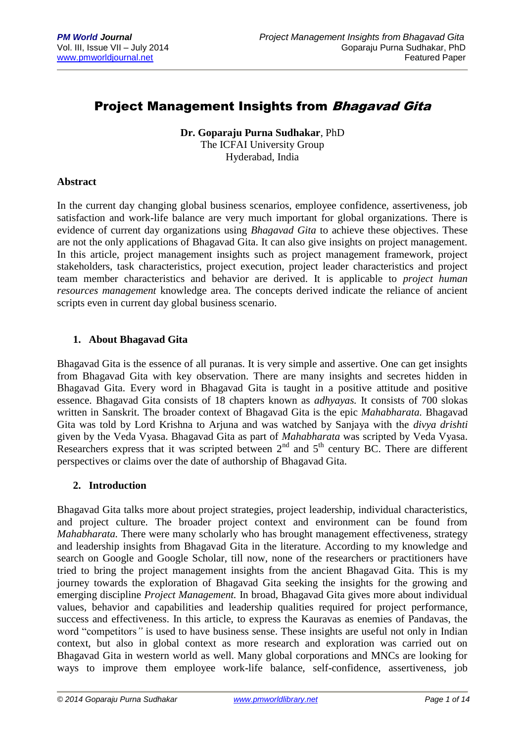## **Project Management Insights from Bhagavad Gita**

**Dr. Goparaju Purna Sudhakar**, PhD The ICFAI University Group Hyderabad, India

#### **Abstract**

In the current day changing global business scenarios, employee confidence, assertiveness, job satisfaction and work-life balance are very much important for global organizations. There is evidence of current day organizations using *Bhagavad Gita* to achieve these objectives. These are not the only applications of Bhagavad Gita. It can also give insights on project management. In this article, project management insights such as project management framework, project stakeholders, task characteristics, project execution, project leader characteristics and project team member characteristics and behavior are derived. It is applicable to *project human resources management* knowledge area. The concepts derived indicate the reliance of ancient scripts even in current day global business scenario.

#### **1. About Bhagavad Gita**

Bhagavad Gita is the essence of all puranas. It is very simple and assertive. One can get insights from Bhagavad Gita with key observation. There are many insights and secretes hidden in Bhagavad Gita. Every word in Bhagavad Gita is taught in a positive attitude and positive essence. Bhagavad Gita consists of 18 chapters known as *adhyayas.* It consists of 700 slokas written in Sanskrit. The broader context of Bhagavad Gita is the epic *Mahabharata.* Bhagavad Gita was told by Lord Krishna to Arjuna and was watched by Sanjaya with the *divya drishti*  given by the Veda Vyasa. Bhagavad Gita as part of *Mahabharata* was scripted by Veda Vyasa. Researchers express that it was scripted between  $2<sup>nd</sup>$  and  $5<sup>th</sup>$  century BC. There are different perspectives or claims over the date of authorship of Bhagavad Gita.

#### **2. Introduction**

Bhagavad Gita talks more about project strategies, project leadership, individual characteristics, and project culture. The broader project context and environment can be found from *Mahabharata.* There were many scholarly who has brought management effectiveness, strategy and leadership insights from Bhagavad Gita in the literature. According to my knowledge and search on Google and Google Scholar, till now, none of the researchers or practitioners have tried to bring the project management insights from the ancient Bhagavad Gita. This is my journey towards the exploration of Bhagavad Gita seeking the insights for the growing and emerging discipline *Project Management.* In broad, Bhagavad Gita gives more about individual values, behavior and capabilities and leadership qualities required for project performance, success and effectiveness. In this article, to express the Kauravas as enemies of Pandavas, the word "competitors*"* is used to have business sense. These insights are useful not only in Indian context, but also in global context as more research and exploration was carried out on Bhagavad Gita in western world as well. Many global corporations and MNCs are looking for ways to improve them employee work-life balance, self-confidence, assertiveness, job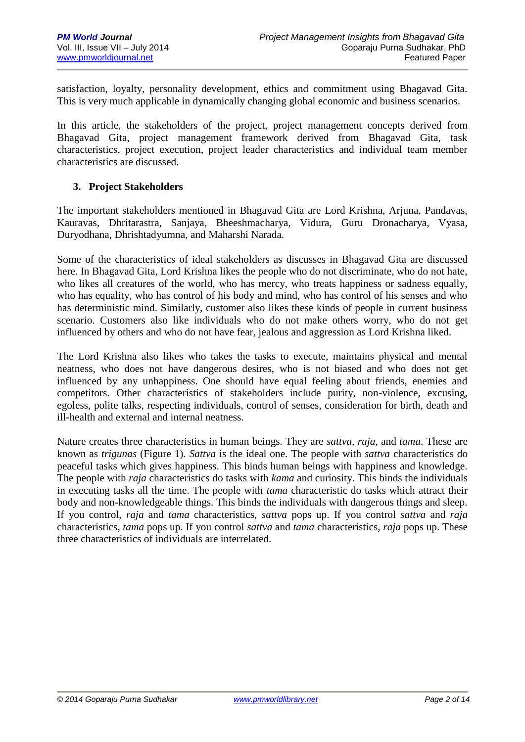satisfaction, loyalty, personality development, ethics and commitment using Bhagavad Gita. This is very much applicable in dynamically changing global economic and business scenarios.

In this article, the stakeholders of the project, project management concepts derived from Bhagavad Gita, project management framework derived from Bhagavad Gita, task characteristics, project execution, project leader characteristics and individual team member characteristics are discussed.

#### **3. Project Stakeholders**

The important stakeholders mentioned in Bhagavad Gita are Lord Krishna, Arjuna, Pandavas, Kauravas, Dhritarastra, Sanjaya, Bheeshmacharya, Vidura, Guru Dronacharya, Vyasa, Duryodhana, Dhrishtadyumna, and Maharshi Narada.

Some of the characteristics of ideal stakeholders as discusses in Bhagavad Gita are discussed here. In Bhagavad Gita, Lord Krishna likes the people who do not discriminate, who do not hate, who likes all creatures of the world, who has mercy, who treats happiness or sadness equally, who has equality, who has control of his body and mind, who has control of his senses and who has deterministic mind. Similarly, customer also likes these kinds of people in current business scenario. Customers also like individuals who do not make others worry, who do not get influenced by others and who do not have fear, jealous and aggression as Lord Krishna liked.

The Lord Krishna also likes who takes the tasks to execute, maintains physical and mental neatness, who does not have dangerous desires, who is not biased and who does not get influenced by any unhappiness. One should have equal feeling about friends, enemies and competitors. Other characteristics of stakeholders include purity, non-violence, excusing, egoless, polite talks, respecting individuals, control of senses, consideration for birth, death and ill-health and external and internal neatness.

Nature creates three characteristics in human beings. They are *sattva, raja*, and *tama*. These are known as *trigunas* (Figure 1)*. Sattva* is the ideal one. The people with *sattva* characteristics do peaceful tasks which gives happiness. This binds human beings with happiness and knowledge. The people with *raja* characteristics do tasks with *kama* and curiosity. This binds the individuals in executing tasks all the time. The people with *tama* characteristic do tasks which attract their body and non-knowledgeable things. This binds the individuals with dangerous things and sleep. If you control, *raja* and *tama* characteristics, *sattva* pops up. If you control *sattva* and *raja* characteristics, *tama* pops up. If you control *sattva* and *tama* characteristics, *raja* pops up. These three characteristics of individuals are interrelated.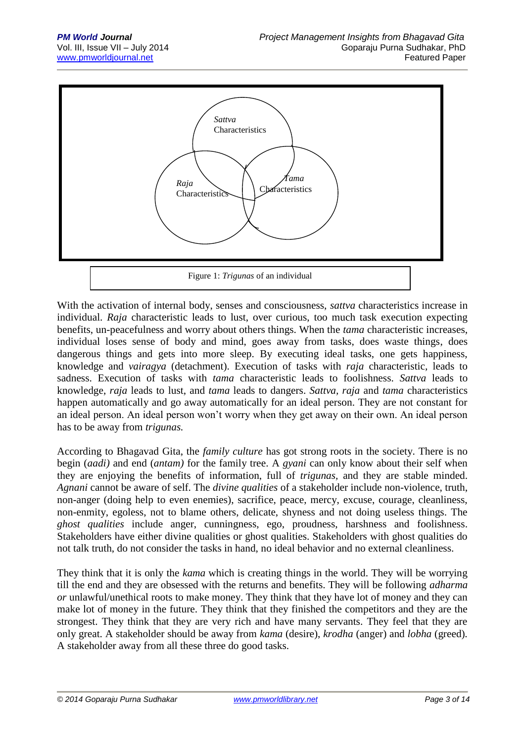

With the activation of internal body, senses and consciousness, *sattva* characteristics increase in individual. *Raja* characteristic leads to lust, over curious, too much task execution expecting benefits, un-peacefulness and worry about others things. When the *tama* characteristic increases, individual loses sense of body and mind, goes away from tasks, does waste things, does dangerous things and gets into more sleep. By executing ideal tasks, one gets happiness, knowledge and *vairagya* (detachment). Execution of tasks with *raja* characteristic*,* leads to sadness. Execution of tasks with *tama* characteristic leads to foolishness. *Sattva* leads to knowledge, *raja* leads to lust, and *tama* leads to dangers. *Sattva, raja* and *tama* characteristics happen automatically and go away automatically for an ideal person. They are not constant for an ideal person. An ideal person won't worry when they get away on their own. An ideal person has to be away from *trigunas.* 

According to Bhagavad Gita, the *family culture* has got strong roots in the society. There is no begin (*aadi)* and end (*antam)* for the family tree. A *gyani* can only know about their self when they are enjoying the benefits of information, full of *trigunas,* and they are stable minded. *Agnani* cannot be aware of self. The *divine qualities* of a stakeholder include non-violence, truth, non-anger (doing help to even enemies), sacrifice, peace, mercy, excuse, courage, cleanliness, non-enmity, egoless, not to blame others, delicate, shyness and not doing useless things. The *ghost qualities* include anger, cunningness, ego, proudness, harshness and foolishness. Stakeholders have either divine qualities or ghost qualities. Stakeholders with ghost qualities do not talk truth, do not consider the tasks in hand, no ideal behavior and no external cleanliness.

They think that it is only the *kama* which is creating things in the world. They will be worrying till the end and they are obsessed with the returns and benefits. They will be following *adharma or* unlawful/unethical roots to make money. They think that they have lot of money and they can make lot of money in the future. They think that they finished the competitors and they are the strongest. They think that they are very rich and have many servants. They feel that they are only great. A stakeholder should be away from *kama* (desire), *krodha* (anger) and *lobha* (greed)*.*  A stakeholder away from all these three do good tasks.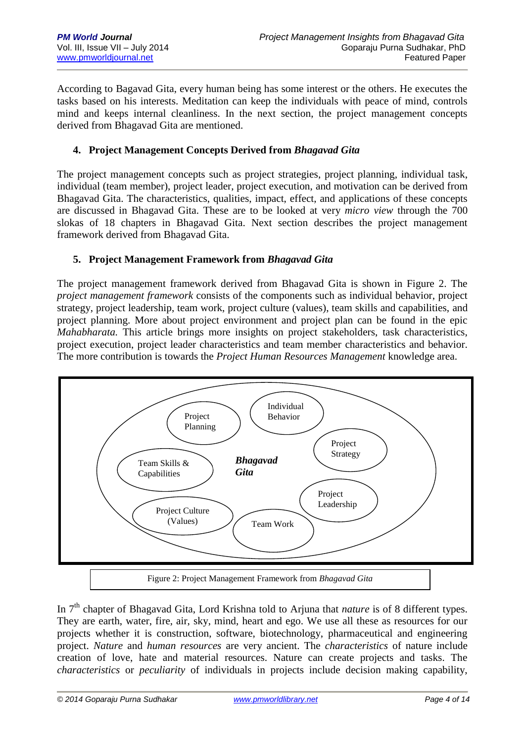According to Bagavad Gita, every human being has some interest or the others. He executes the tasks based on his interests. Meditation can keep the individuals with peace of mind, controls mind and keeps internal cleanliness. In the next section, the project management concepts derived from Bhagavad Gita are mentioned.

## **4. Project Management Concepts Derived from** *Bhagavad Gita*

The project management concepts such as project strategies, project planning, individual task, individual (team member), project leader, project execution, and motivation can be derived from Bhagavad Gita. The characteristics, qualities, impact, effect, and applications of these concepts are discussed in Bhagavad Gita. These are to be looked at very *micro view* through the 700 slokas of 18 chapters in Bhagavad Gita. Next section describes the project management framework derived from Bhagavad Gita.

#### **5. Project Management Framework from** *Bhagavad Gita*

The project management framework derived from Bhagavad Gita is shown in Figure 2. The *project management framework* consists of the components such as individual behavior, project strategy, project leadership, team work, project culture (values), team skills and capabilities, and project planning. More about project environment and project plan can be found in the epic *Mahabharata.* This article brings more insights on project stakeholders, task characteristics, project execution, project leader characteristics and team member characteristics and behavior. The more contribution is towards the *Project Human Resources Management* knowledge area.



In 7th chapter of Bhagavad Gita, Lord Krishna told to Arjuna that *nature* is of 8 different types. They are earth, water, fire, air, sky, mind, heart and ego. We use all these as resources for our projects whether it is construction, software, biotechnology, pharmaceutical and engineering project. *Nature* and *human resources* are very ancient. The *characteristics* of nature include creation of love, hate and material resources. Nature can create projects and tasks. The *characteristics* or *peculiarity* of individuals in projects include decision making capability,

*© 2014 Goparaju Purna Sudhakar [www.pmworldlibrary.net](http://www.pmworldlibrary.net/) Page 4 of 14*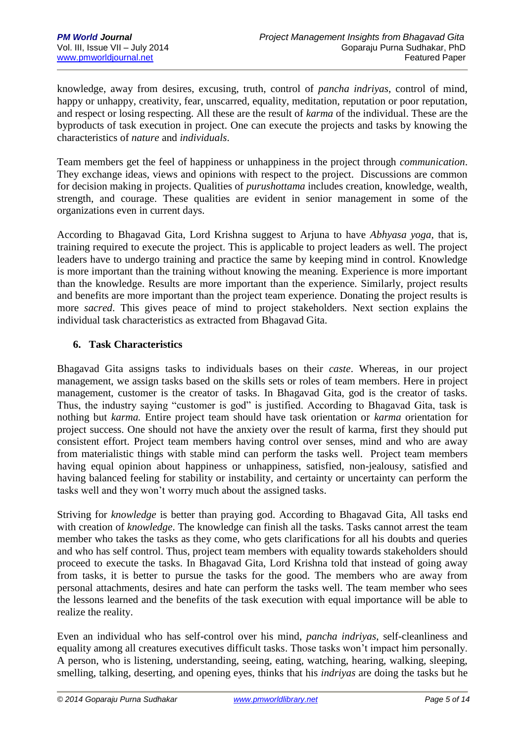knowledge, away from desires, excusing, truth, control of *pancha indriyas*, control of mind, happy or unhappy, creativity, fear, unscarred, equality, meditation, reputation or poor reputation, and respect or losing respecting. All these are the result of *karma* of the individual. These are the byproducts of task execution in project. One can execute the projects and tasks by knowing the characteristics of *nature* and *individuals*.

Team members get the feel of happiness or unhappiness in the project through *communication*. They exchange ideas, views and opinions with respect to the project. Discussions are common for decision making in projects. Qualities of *purushottama* includes creation, knowledge, wealth, strength, and courage. These qualities are evident in senior management in some of the organizations even in current days.

According to Bhagavad Gita, Lord Krishna suggest to Arjuna to have *Abhyasa yoga,* that is, training required to execute the project. This is applicable to project leaders as well. The project leaders have to undergo training and practice the same by keeping mind in control. Knowledge is more important than the training without knowing the meaning. Experience is more important than the knowledge. Results are more important than the experience. Similarly, project results and benefits are more important than the project team experience. Donating the project results is more *sacred*. This gives peace of mind to project stakeholders. Next section explains the individual task characteristics as extracted from Bhagavad Gita.

## **6. Task Characteristics**

Bhagavad Gita assigns tasks to individuals bases on their *caste*. Whereas, in our project management, we assign tasks based on the skills sets or roles of team members. Here in project management, customer is the creator of tasks. In Bhagavad Gita, god is the creator of tasks. Thus, the industry saying "customer is god" is justified. According to Bhagavad Gita, task is nothing but *karma.* Entire project team should have task orientation or *karma* orientation for project success. One should not have the anxiety over the result of karma, first they should put consistent effort. Project team members having control over senses, mind and who are away from materialistic things with stable mind can perform the tasks well. Project team members having equal opinion about happiness or unhappiness, satisfied, non-jealousy, satisfied and having balanced feeling for stability or instability, and certainty or uncertainty can perform the tasks well and they won't worry much about the assigned tasks.

Striving for *knowledge* is better than praying god. According to Bhagavad Gita, All tasks end with creation of *knowledge*. The knowledge can finish all the tasks. Tasks cannot arrest the team member who takes the tasks as they come, who gets clarifications for all his doubts and queries and who has self control. Thus, project team members with equality towards stakeholders should proceed to execute the tasks. In Bhagavad Gita, Lord Krishna told that instead of going away from tasks, it is better to pursue the tasks for the good. The members who are away from personal attachments, desires and hate can perform the tasks well. The team member who sees the lessons learned and the benefits of the task execution with equal importance will be able to realize the reality.

Even an individual who has self-control over his mind, *pancha indriyas*, self-cleanliness and equality among all creatures executives difficult tasks. Those tasks won't impact him personally. A person, who is listening, understanding, seeing, eating, watching, hearing, walking, sleeping, smelling, talking, deserting, and opening eyes, thinks that his *indriyas* are doing the tasks but he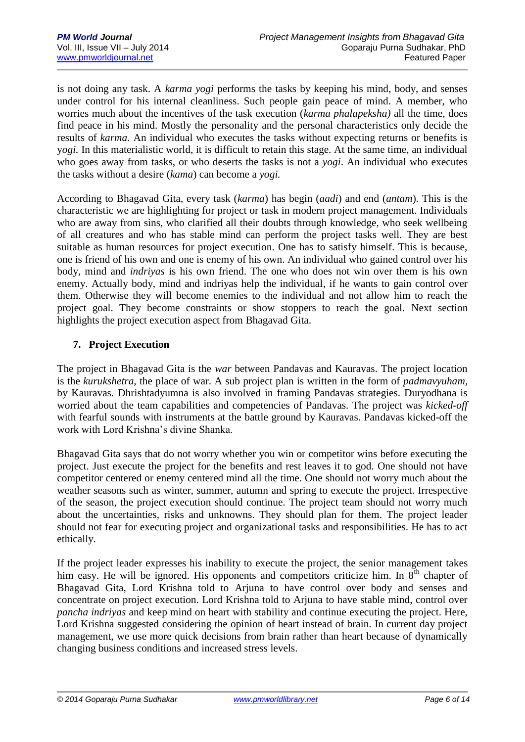is not doing any task. A *karma yogi* performs the tasks by keeping his mind, body, and senses under control for his internal cleanliness. Such people gain peace of mind. A member, who worries much about the incentives of the task execution (*karma phalapeksha)* all the time, does find peace in his mind. Mostly the personality and the personal characteristics only decide the results of *karma.* An individual who executes the tasks without expecting returns or benefits is y*ogi.* In this materialistic world, it is difficult to retain this stage. At the same time, an individual who goes away from tasks, or who deserts the tasks is not a *yogi*. An individual who executes the tasks without a desire (*kama*) can become a *yogi.* 

According to Bhagavad Gita, every task (*karma*) has begin (*aadi*) and end (*antam*). This is the characteristic we are highlighting for project or task in modern project management. Individuals who are away from sins, who clarified all their doubts through knowledge, who seek wellbeing of all creatures and who has stable mind can perform the project tasks well. They are best suitable as human resources for project execution. One has to satisfy himself. This is because, one is friend of his own and one is enemy of his own. An individual who gained control over his body, mind and *indriyas* is his own friend. The one who does not win over them is his own enemy. Actually body, mind and indriyas help the individual, if he wants to gain control over them. Otherwise they will become enemies to the individual and not allow him to reach the project goal. They become constraints or show stoppers to reach the goal. Next section highlights the project execution aspect from Bhagavad Gita.

## **7. Project Execution**

The project in Bhagavad Gita is the *war* between Pandavas and Kauravas. The project location is the *kurukshetra*, the place of war. A sub project plan is written in the form of *padmavyuham,*  by Kauravas*.* Dhrishtadyumna is also involved in framing Pandavas strategies. Duryodhana is worried about the team capabilities and competencies of Pandavas. The project was *kicked-off* with fearful sounds with instruments at the battle ground by Kauravas. Pandavas kicked-off the work with Lord Krishna's divine Shanka.

Bhagavad Gita says that do not worry whether you win or competitor wins before executing the project. Just execute the project for the benefits and rest leaves it to god. One should not have competitor centered or enemy centered mind all the time. One should not worry much about the weather seasons such as winter, summer, autumn and spring to execute the project. Irrespective of the season, the project execution should continue. The project team should not worry much about the uncertainties, risks and unknowns. They should plan for them. The project leader should not fear for executing project and organizational tasks and responsibilities. He has to act ethically.

If the project leader expresses his inability to execute the project, the senior management takes him easy. He will be ignored. His opponents and competitors criticize him. In  $8<sup>th</sup>$  chapter of Bhagavad Gita, Lord Krishna told to Arjuna to have control over body and senses and concentrate on project execution. Lord Krishna told to Arjuna to have stable mind, control over *pancha indriyas* and keep mind on heart with stability and continue executing the project. Here, Lord Krishna suggested considering the opinion of heart instead of brain. In current day project management, we use more quick decisions from brain rather than heart because of dynamically changing business conditions and increased stress levels.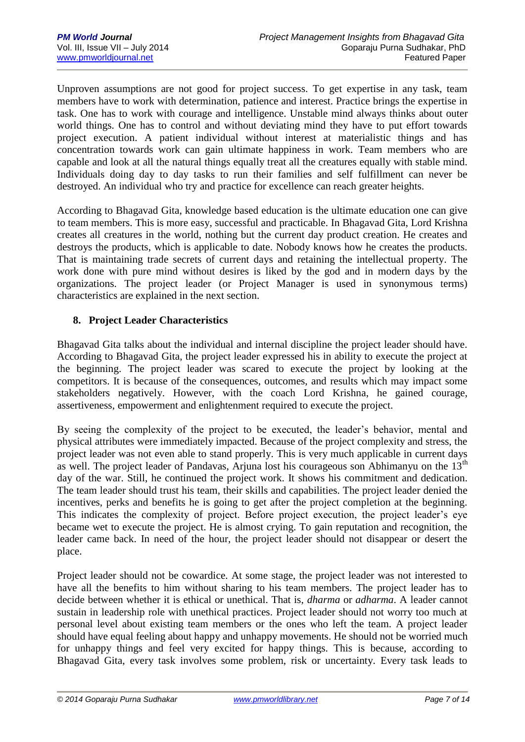Unproven assumptions are not good for project success. To get expertise in any task, team members have to work with determination, patience and interest. Practice brings the expertise in task. One has to work with courage and intelligence. Unstable mind always thinks about outer world things. One has to control and without deviating mind they have to put effort towards project execution. A patient individual without interest at materialistic things and has concentration towards work can gain ultimate happiness in work. Team members who are capable and look at all the natural things equally treat all the creatures equally with stable mind. Individuals doing day to day tasks to run their families and self fulfillment can never be destroyed. An individual who try and practice for excellence can reach greater heights.

According to Bhagavad Gita, knowledge based education is the ultimate education one can give to team members. This is more easy, successful and practicable. In Bhagavad Gita, Lord Krishna creates all creatures in the world, nothing but the current day product creation. He creates and destroys the products, which is applicable to date. Nobody knows how he creates the products. That is maintaining trade secrets of current days and retaining the intellectual property. The work done with pure mind without desires is liked by the god and in modern days by the organizations. The project leader (or Project Manager is used in synonymous terms) characteristics are explained in the next section.

## **8. Project Leader Characteristics**

Bhagavad Gita talks about the individual and internal discipline the project leader should have. According to Bhagavad Gita, the project leader expressed his in ability to execute the project at the beginning. The project leader was scared to execute the project by looking at the competitors. It is because of the consequences, outcomes, and results which may impact some stakeholders negatively. However, with the coach Lord Krishna, he gained courage, assertiveness, empowerment and enlightenment required to execute the project.

By seeing the complexity of the project to be executed, the leader's behavior, mental and physical attributes were immediately impacted. Because of the project complexity and stress, the project leader was not even able to stand properly. This is very much applicable in current days as well. The project leader of Pandavas, Arjuna lost his courageous son Abhimanyu on the 13<sup>th</sup> day of the war. Still, he continued the project work. It shows his commitment and dedication. The team leader should trust his team, their skills and capabilities. The project leader denied the incentives, perks and benefits he is going to get after the project completion at the beginning. This indicates the complexity of project. Before project execution, the project leader's eye became wet to execute the project. He is almost crying. To gain reputation and recognition, the leader came back. In need of the hour, the project leader should not disappear or desert the place.

Project leader should not be cowardice. At some stage, the project leader was not interested to have all the benefits to him without sharing to his team members. The project leader has to decide between whether it is ethical or unethical. That is, *dharma* or *adharma*. A leader cannot sustain in leadership role with unethical practices. Project leader should not worry too much at personal level about existing team members or the ones who left the team. A project leader should have equal feeling about happy and unhappy movements. He should not be worried much for unhappy things and feel very excited for happy things. This is because, according to Bhagavad Gita, every task involves some problem, risk or uncertainty. Every task leads to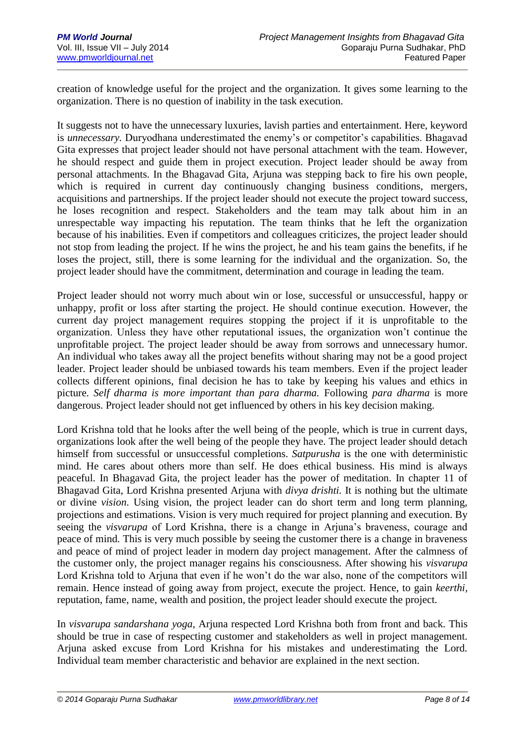creation of knowledge useful for the project and the organization. It gives some learning to the organization. There is no question of inability in the task execution.

It suggests not to have the unnecessary luxuries, lavish parties and entertainment. Here, keyword is *unnecessary.* Duryodhana underestimated the enemy's or competitor's capabilities. Bhagavad Gita expresses that project leader should not have personal attachment with the team. However, he should respect and guide them in project execution. Project leader should be away from personal attachments. In the Bhagavad Gita, Arjuna was stepping back to fire his own people, which is required in current day continuously changing business conditions, mergers, acquisitions and partnerships. If the project leader should not execute the project toward success, he loses recognition and respect. Stakeholders and the team may talk about him in an unrespectable way impacting his reputation. The team thinks that he left the organization because of his inabilities. Even if competitors and colleagues criticizes, the project leader should not stop from leading the project. If he wins the project, he and his team gains the benefits, if he loses the project, still, there is some learning for the individual and the organization. So, the project leader should have the commitment, determination and courage in leading the team.

Project leader should not worry much about win or lose, successful or unsuccessful, happy or unhappy, profit or loss after starting the project. He should continue execution. However, the current day project management requires stopping the project if it is unprofitable to the organization. Unless they have other reputational issues, the organization won't continue the unprofitable project. The project leader should be away from sorrows and unnecessary humor. An individual who takes away all the project benefits without sharing may not be a good project leader. Project leader should be unbiased towards his team members. Even if the project leader collects different opinions, final decision he has to take by keeping his values and ethics in picture. *Self dharma is more important than para dharma.* Following *para dharma* is more dangerous. Project leader should not get influenced by others in his key decision making.

Lord Krishna told that he looks after the well being of the people, which is true in current days, organizations look after the well being of the people they have. The project leader should detach himself from successful or unsuccessful completions. *Satpurusha* is the one with deterministic mind. He cares about others more than self. He does ethical business. His mind is always peaceful. In Bhagavad Gita, the project leader has the power of meditation. In chapter 11 of Bhagavad Gita, Lord Krishna presented Arjuna with *divya drishti.* It is nothing but the ultimate or divine *vision*. Using vision, the project leader can do short term and long term planning, projections and estimations. Vision is very much required for project planning and execution. By seeing the *visvarupa* of Lord Krishna, there is a change in Arjuna's braveness, courage and peace of mind. This is very much possible by seeing the customer there is a change in braveness and peace of mind of project leader in modern day project management. After the calmness of the customer only, the project manager regains his consciousness. After showing his *visvarupa*  Lord Krishna told to Ariuna that even if he won't do the war also, none of the competitors will remain. Hence instead of going away from project, execute the project. Hence, to gain *keerthi,*  reputation, fame, name, wealth and position, the project leader should execute the project.

In *visvarupa sandarshana yoga*, Arjuna respected Lord Krishna both from front and back. This should be true in case of respecting customer and stakeholders as well in project management. Arjuna asked excuse from Lord Krishna for his mistakes and underestimating the Lord. Individual team member characteristic and behavior are explained in the next section.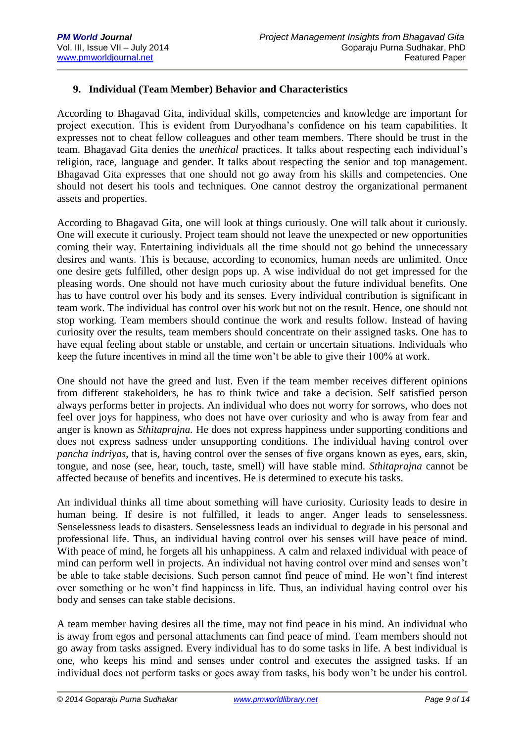## **9. Individual (Team Member) Behavior and Characteristics**

According to Bhagavad Gita, individual skills, competencies and knowledge are important for project execution. This is evident from Duryodhana's confidence on his team capabilities. It expresses not to cheat fellow colleagues and other team members. There should be trust in the team. Bhagavad Gita denies the *unethical* practices. It talks about respecting each individual's religion, race, language and gender. It talks about respecting the senior and top management. Bhagavad Gita expresses that one should not go away from his skills and competencies. One should not desert his tools and techniques. One cannot destroy the organizational permanent assets and properties.

According to Bhagavad Gita, one will look at things curiously. One will talk about it curiously. One will execute it curiously. Project team should not leave the unexpected or new opportunities coming their way. Entertaining individuals all the time should not go behind the unnecessary desires and wants. This is because, according to economics, human needs are unlimited. Once one desire gets fulfilled, other design pops up. A wise individual do not get impressed for the pleasing words. One should not have much curiosity about the future individual benefits. One has to have control over his body and its senses. Every individual contribution is significant in team work. The individual has control over his work but not on the result. Hence, one should not stop working. Team members should continue the work and results follow. Instead of having curiosity over the results, team members should concentrate on their assigned tasks. One has to have equal feeling about stable or unstable, and certain or uncertain situations. Individuals who keep the future incentives in mind all the time won't be able to give their 100% at work.

One should not have the greed and lust. Even if the team member receives different opinions from different stakeholders, he has to think twice and take a decision. Self satisfied person always performs better in projects. An individual who does not worry for sorrows, who does not feel over joys for happiness, who does not have over curiosity and who is away from fear and anger is known as *Sthitaprajna.* He does not express happiness under supporting conditions and does not express sadness under unsupporting conditions. The individual having control over *pancha indriyas*, that is, having control over the senses of five organs known as eyes, ears, skin, tongue, and nose (see, hear, touch, taste, smell) will have stable mind. *Sthitaprajna* cannot be affected because of benefits and incentives. He is determined to execute his tasks.

An individual thinks all time about something will have curiosity. Curiosity leads to desire in human being. If desire is not fulfilled, it leads to anger. Anger leads to senselessness. Senselessness leads to disasters. Senselessness leads an individual to degrade in his personal and professional life. Thus, an individual having control over his senses will have peace of mind. With peace of mind, he forgets all his unhappiness. A calm and relaxed individual with peace of mind can perform well in projects. An individual not having control over mind and senses won't be able to take stable decisions. Such person cannot find peace of mind. He won't find interest over something or he won't find happiness in life. Thus, an individual having control over his body and senses can take stable decisions.

A team member having desires all the time, may not find peace in his mind. An individual who is away from egos and personal attachments can find peace of mind. Team members should not go away from tasks assigned. Every individual has to do some tasks in life. A best individual is one, who keeps his mind and senses under control and executes the assigned tasks. If an individual does not perform tasks or goes away from tasks, his body won't be under his control.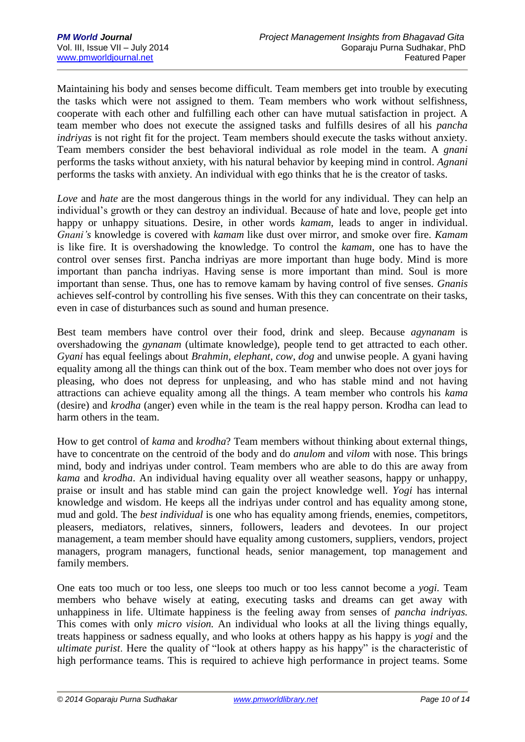Maintaining his body and senses become difficult. Team members get into trouble by executing the tasks which were not assigned to them. Team members who work without selfishness, cooperate with each other and fulfilling each other can have mutual satisfaction in project. A team member who does not execute the assigned tasks and fulfills desires of all his *pancha indriyas* is not right fit for the project. Team members should execute the tasks without anxiety. Team members consider the best behavioral individual as role model in the team. A *gnani* performs the tasks without anxiety, with his natural behavior by keeping mind in control. *Agnani* performs the tasks with anxiety. An individual with ego thinks that he is the creator of tasks.

*Love* and *hate* are the most dangerous things in the world for any individual. They can help an individual's growth or they can destroy an individual. Because of hate and love, people get into happy or unhappy situations. Desire, in other words *kamam*, leads to anger in individual. *Gnani's* knowledge is covered with *kamam* like dust over mirror, and smoke over fire. *Kamam* is like fire. It is overshadowing the knowledge. To control the *kamam*, one has to have the control over senses first. Pancha indriyas are more important than huge body. Mind is more important than pancha indriyas. Having sense is more important than mind. Soul is more important than sense. Thus, one has to remove kamam by having control of five senses. *Gnanis* achieves self-control by controlling his five senses. With this they can concentrate on their tasks, even in case of disturbances such as sound and human presence.

Best team members have control over their food, drink and sleep. Because *agynanam* is overshadowing the *gynanam* (ultimate knowledge), people tend to get attracted to each other. *Gyani* has equal feelings about *Brahmin, elephant, cow*, *dog* and unwise people. A gyani having equality among all the things can think out of the box. Team member who does not over joys for pleasing, who does not depress for unpleasing, and who has stable mind and not having attractions can achieve equality among all the things. A team member who controls his *kama* (desire) and *krodha* (anger) even while in the team is the real happy person. Krodha can lead to harm others in the team.

How to get control of *kama* and *krodha*? Team members without thinking about external things, have to concentrate on the centroid of the body and do *anulom* and *vilom* with nose. This brings mind, body and indriyas under control. Team members who are able to do this are away from *kama* and *krodha*. An individual having equality over all weather seasons, happy or unhappy, praise or insult and has stable mind can gain the project knowledge well. *Yogi* has internal knowledge and wisdom. He keeps all the indriyas under control and has equality among stone, mud and gold. The *best individual* is one who has equality among friends, enemies, competitors, pleasers, mediators, relatives, sinners, followers, leaders and devotees. In our project management, a team member should have equality among customers, suppliers, vendors, project managers, program managers, functional heads, senior management, top management and family members.

One eats too much or too less, one sleeps too much or too less cannot become a *yogi.* Team members who behave wisely at eating, executing tasks and dreams can get away with unhappiness in life. Ultimate happiness is the feeling away from senses of *pancha indriyas.* This comes with only *micro vision.* An individual who looks at all the living things equally, treats happiness or sadness equally, and who looks at others happy as his happy is *yogi* and the *ultimate purist*. Here the quality of "look at others happy as his happy" is the characteristic of high performance teams. This is required to achieve high performance in project teams. Some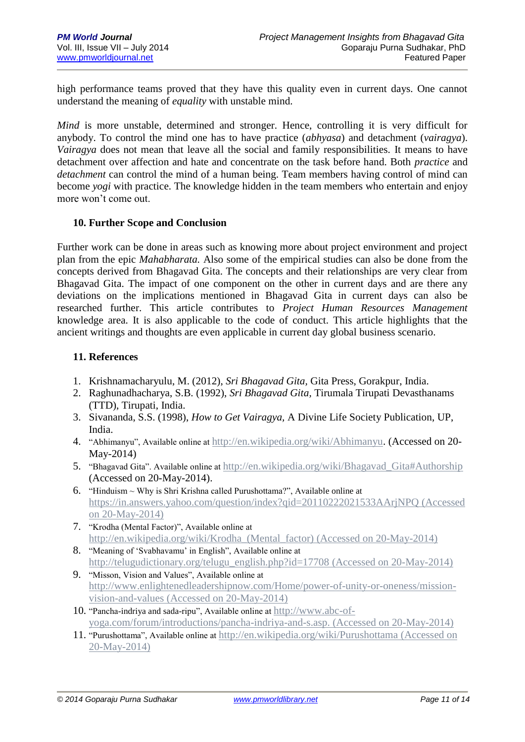high performance teams proved that they have this quality even in current days. One cannot understand the meaning of *equality* with unstable mind.

*Mind* is more unstable, determined and stronger. Hence, controlling it is very difficult for anybody. To control the mind one has to have practice (*abhyasa*) and detachment (*vairagya*). *Vairagya* does not mean that leave all the social and family responsibilities. It means to have detachment over affection and hate and concentrate on the task before hand. Both *practice* and *detachment* can control the mind of a human being. Team members having control of mind can become *yogi* with practice. The knowledge hidden in the team members who entertain and enjoy more won't come out.

#### **10. Further Scope and Conclusion**

Further work can be done in areas such as knowing more about project environment and project plan from the epic *Mahabharata.* Also some of the empirical studies can also be done from the concepts derived from Bhagavad Gita. The concepts and their relationships are very clear from Bhagavad Gita. The impact of one component on the other in current days and are there any deviations on the implications mentioned in Bhagavad Gita in current days can also be researched further. This article contributes to *Project Human Resources Management*  knowledge area. It is also applicable to the code of conduct. This article highlights that the ancient writings and thoughts are even applicable in current day global business scenario.

## **11. References**

- 1. Krishnamacharyulu, M. (2012), *Sri Bhagavad Gita,* Gita Press, Gorakpur, India.
- 2. Raghunadhacharya, S.B. (1992), *Sri Bhagavad Gita,* Tirumala Tirupati Devasthanams (TTD), Tirupati, India.
- 3. Sivananda, S.S. (1998), *How to Get Vairagya,* A Divine Life Society Publication, UP, India.
- 4. "Abhimanyu", Available online at [http://en.wikipedia.org/wiki/Abhimanyu.](http://en.wikipedia.org/wiki/Abhimanyu) (Accessed on 20- May-2014)
- 5. "Bhagavad Gita". Available online at [http://en.wikipedia.org/wiki/Bhagavad\\_Gita#Authorship](http://en.wikipedia.org/wiki/Bhagavad_Gita#Authorship) (Accessed on 20-May-2014).
- 6. "Hinduism ~ Why is Shri Krishna called Purushottama?", Available online at <https://in.answers.yahoo.com/question/index?qid=20110222021533AArjNPQ> (Accessed on 20-May-2014)
- 7. "Krodha (Mental Factor)", Available online at [http://en.wikipedia.org/wiki/Krodha\\_\(Mental\\_factor\)](http://en.wikipedia.org/wiki/Krodha_(Mental_factor)) (Accessed on 20-May-2014)
- 8. "Meaning of 'Svabhavamu' in English", Available online at [http://telugudictionary.org/telugu\\_english.php?id=17708](http://telugudictionary.org/telugu_english.php?id=17708) (Accessed on 20-May-2014)
- 9. "Misson, Vision and Values", Available online at [http://www.enlightenedleadershipnow.com/Home/power-of-unity-or-oneness/mission](http://www.enlightenedleadershipnow.com/Home/power-of-unity-or-oneness/mission-vision-and-values)[vision-and-values](http://www.enlightenedleadershipnow.com/Home/power-of-unity-or-oneness/mission-vision-and-values) (Accessed on 20-May-2014)
- 10. "Pancha-indriya and sada-ripu", Available online at [http://www.abc-of](http://www.abc-of-yoga.com/forum/introductions/pancha-indriya-and-s.asp)[yoga.com/forum/introductions/pancha-indriya-and-s.asp.](http://www.abc-of-yoga.com/forum/introductions/pancha-indriya-and-s.asp) (Accessed on 20-May-2014)
- 11. "Purushottama", Available online at <http://en.wikipedia.org/wiki/Purushottama> (Accessed on 20-May-2014)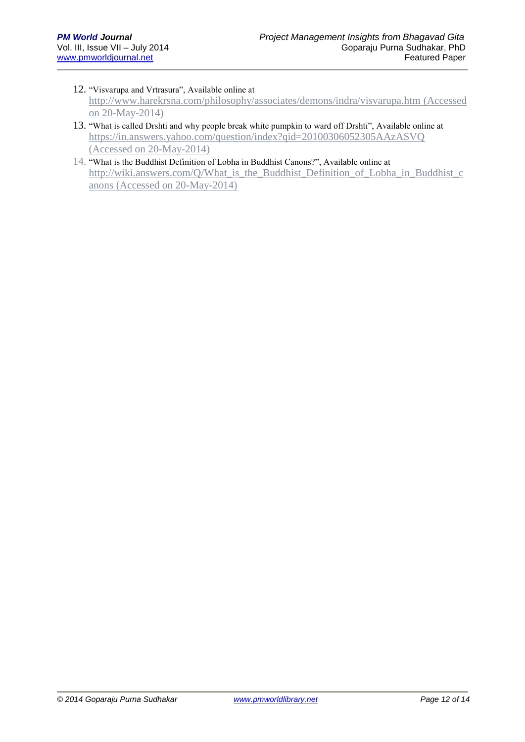#### 12. "Visvarupa and Vrtrasura", Available online at <http://www.harekrsna.com/philosophy/associates/demons/indra/visvarupa.htm> (Accessed on 20-May-2014)

- 13. "What is called Drshti and why people break white pumpkin to ward off Drshti", Available online at <https://in.answers.yahoo.com/question/index?qid=20100306052305AAzASVQ> (Accessed on 20-May-2014)
- 14. "What is the Buddhist Definition of Lobha in Buddhist Canons?", Available online at [http://wiki.answers.com/Q/What\\_is\\_the\\_Buddhist\\_Definition\\_of\\_Lobha\\_in\\_Buddhist\\_c](http://wiki.answers.com/Q/What_is_the_Buddhist_Definition_of_Lobha_in_Buddhist_canons) [anons](http://wiki.answers.com/Q/What_is_the_Buddhist_Definition_of_Lobha_in_Buddhist_canons) (Accessed on 20-May-2014)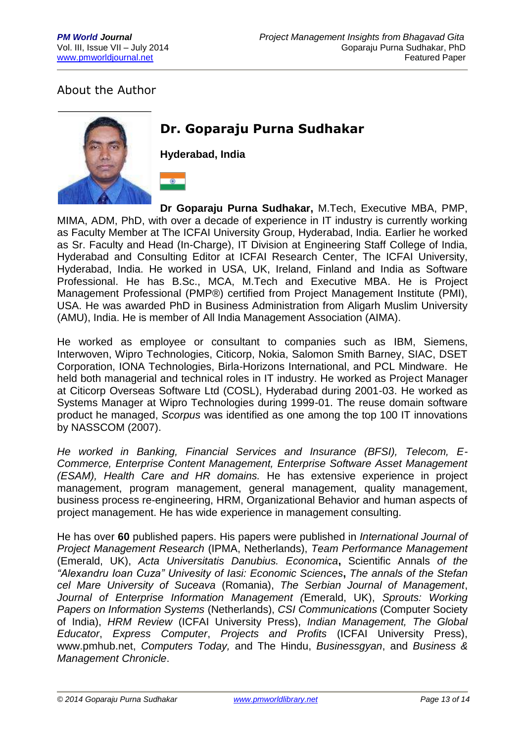# About the Author



# **Dr. Goparaju Purna Sudhakar**

**Hyderabad, India**

 $\bullet$ 

**Dr Goparaju Purna Sudhakar,** M.Tech, Executive MBA, PMP, MIMA, ADM, PhD, with over a decade of experience in IT industry is currently working as Faculty Member at The ICFAI University Group, Hyderabad, India. Earlier he worked as Sr. Faculty and Head (In-Charge), IT Division at Engineering Staff College of India, Hyderabad and Consulting Editor at ICFAI Research Center, The ICFAI University, Hyderabad, India. He worked in USA, UK, Ireland, Finland and India as Software Professional. He has B.Sc., MCA, M.Tech and Executive MBA. He is Project Management Professional (PMP®) certified from Project Management Institute (PMI), USA. He was awarded PhD in Business Administration from Aligarh Muslim University (AMU), India. He is member of All India Management Association (AIMA).

He worked as employee or consultant to companies such as IBM, Siemens, Interwoven, Wipro Technologies, Citicorp, Nokia, Salomon Smith Barney, SIAC, DSET Corporation, IONA Technologies, Birla-Horizons International, and PCL Mindware. He held both managerial and technical roles in IT industry. He worked as Project Manager at Citicorp Overseas Software Ltd (COSL), Hyderabad during 2001-03. He worked as Systems Manager at Wipro Technologies during 1999-01. The reuse domain software product he managed, *Scorpus* was identified as one among the top 100 IT innovations by NASSCOM (2007).

*He worked in Banking, Financial Services and Insurance (BFSI), Telecom, E-Commerce, Enterprise Content Management, Enterprise Software Asset Management (ESAM), Health Care and HR domains.* He has extensive experience in project management, program management, general management, quality management, business process re-engineering, HRM, Organizational Behavior and human aspects of project management. He has wide experience in management consulting.

He has over **60** published papers. His papers were published in *International Journal of Project Management Research* (IPMA, Netherlands), *Team Performance Management* (Emerald, UK), *Acta Universitatis Danubius. Economica***,** Scientific Annals *of the "Alexandru Ioan Cuza" Univesity of Iasi: Economic Sciences***,** *The annals of the Stefan cel Mare University of Suceava* (Romania), *The Serbian Journal of Management*, *Journal of Enterprise Information Management (*Emerald, UK), *Sprouts: Working Papers on Information Systems* (Netherlands), *CSI Communications* (Computer Society of India), *HRM Review* (ICFAI University Press), *Indian Management, The Global Educator*, *Express Computer*, *Projects and Profits* (ICFAI University Press), www.pmhub.net, *Computers Today,* and The Hindu, *Businessgyan*, and *Business & Management Chronicle*.